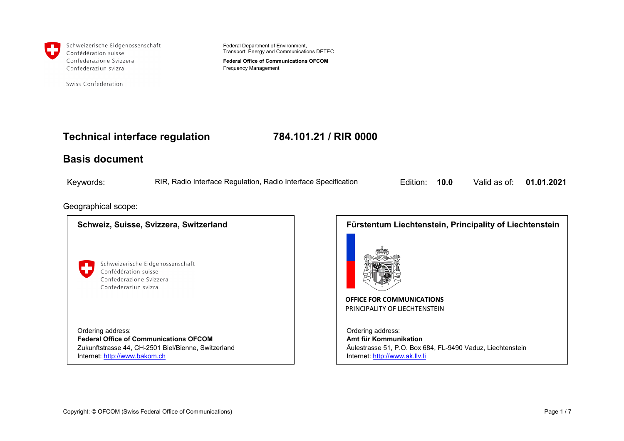

Schweizerische Eidgenossenschaft Confédération suisse Confederazione Svizzera Confederaziun svizra

Swiss Confederation

Federal Department of Environment, Transport, Energy and Communications DETEC

**Federal Office of Communications OFCOM** Frequency Management

#### **Technical interface regulation 784.101.21 / RIR 0000**

#### **Basis document**

| Keywords: | RIR, Radio Interface Regulation, Radio Interface Specification<br>и производите на приема на приема на приема на приема на приема на приема на приема на приема на приема на при | <b>Edition: 10.0</b> |  | Valid as of: 01.01.2021 |  |
|-----------|----------------------------------------------------------------------------------------------------------------------------------------------------------------------------------|----------------------|--|-------------------------|--|
|-----------|----------------------------------------------------------------------------------------------------------------------------------------------------------------------------------|----------------------|--|-------------------------|--|

#### Geographical scope:

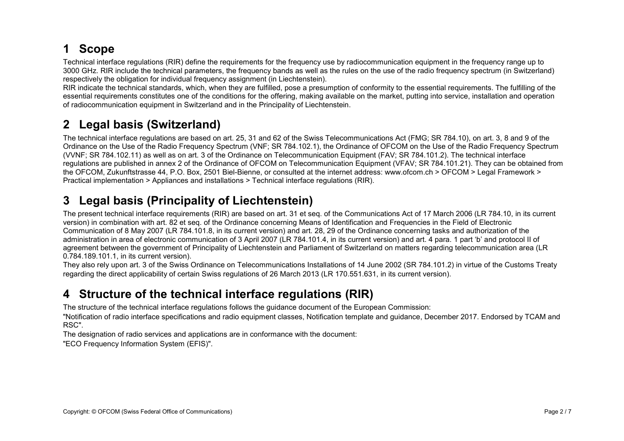# **1 Scope**

Technical interface regulations (RIR) define the requirements for the frequency use by radiocommunication equipment in the frequency range up to 3000 GHz. RIR include the technical parameters, the frequency bands as well as the rules on the use of the radio frequency spectrum (in Switzerland) respectively the obligation for individual frequency assignment (in Liechtenstein).

RIR indicate the technical standards, which, when they are fulfilled, pose a presumption of conformity to the essential requirements. The fulfilling of the essential requirements constitutes one of the conditions for the offering, making available on the market, putting into service, installation and operation of radiocommunication equipment in Switzerland and in the Principality of Liechtenstein.

# **2 Legal basis (Switzerland)**

The technical interface regulations are based on art. 25, 31 and 62 of the Swiss Telecommunications Act (FMG; SR 784.10), on art. 3, 8 and 9 of the Ordinance on the Use of the Radio Frequency Spectrum (VNF; SR 784.102.1), the Ordinance of OFCOM on the Use of the Radio Frequency Spectrum (VVNF; SR 784.102.11) as well as on art. 3 of the Ordinance on Telecommunication Equipment (FAV; SR 784.101.2). The technical interface regulations are published in annex 2 of the Ordinance of OFCOM on Telecommunication Equipment (VFAV; SR 784.101.21). They can be obtained from the OFCOM, Zukunftstrasse 44, P.O. Box, 2501 Biel-Bienne, or consulted at the internet address: www.ofcom.ch > OFCOM > Legal Framework > Practical implementation > Appliances and installations > Technical interface regulations (RIR).

## **3 Legal basis (Principality of Liechtenstein)**

The present technical interface requirements (RIR) are based on art. 31 et seq. of the Communications Act of 17 March 2006 (LR 784.10, in its current version) in combination with art. 82 et seq. of the Ordinance concerning Means of Identification and Frequencies in the Field of Electronic Communication of 8 May 2007 (LR 784.101.8, in its current version) and art. 28, 29 of the Ordinance concerning tasks and authorization of the administration in area of electronic communication of 3 April 2007 (LR 784.101.4, in its current version) and art. 4 para. 1 part 'b' and protocol II of agreement between the government of Principality of Liechtenstein and Parliament of Switzerland on matters regarding telecommunication area (LR 0.784.189.101.1, in its current version).

They also rely upon art. 3 of the Swiss Ordinance on Telecommunications Installations of 14 June 2002 (SR 784.101.2) in virtue of the Customs Treaty regarding the direct applicability of certain Swiss regulations of 26 March 2013 (LR 170.551.631, in its current version).

## **4 Structure of the technical interface regulations (RIR)**

The structure of the technical interface regulations follows the guidance document of the European Commission:

"Notification of radio interface specifications and radio equipment classes, Notification template and guidance, December 2017. Endorsed by TCAM and RSC".

The designation of radio services and applications are in conformance with the document:

"ECO Frequency Information System (EFIS)".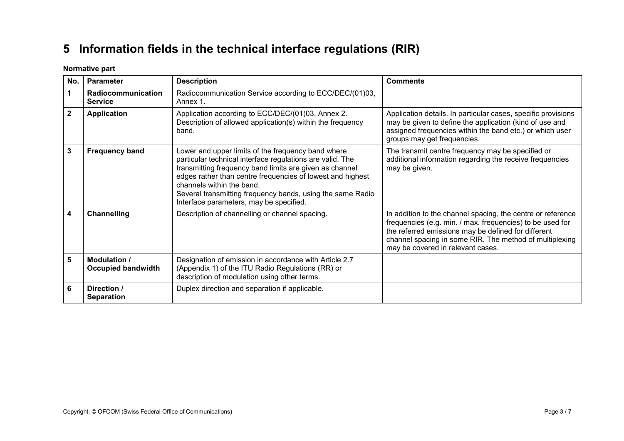# **5 Information fields in the technical interface regulations (RIR)**

**Normative part**

| No.          | <b>Parameter</b>                          | <b>Description</b>                                                                                                                                                                                                                                                                                                                                                             | <b>Comments</b>                                                                                                                                                                                                                                                                 |
|--------------|-------------------------------------------|--------------------------------------------------------------------------------------------------------------------------------------------------------------------------------------------------------------------------------------------------------------------------------------------------------------------------------------------------------------------------------|---------------------------------------------------------------------------------------------------------------------------------------------------------------------------------------------------------------------------------------------------------------------------------|
| 1            | Radiocommunication<br><b>Service</b>      | Radiocommunication Service according to ECC/DEC/(01)03,<br>Annex 1.                                                                                                                                                                                                                                                                                                            |                                                                                                                                                                                                                                                                                 |
| $\mathbf{2}$ | <b>Application</b>                        | Application according to ECC/DEC/(01)03, Annex 2.<br>Description of allowed application(s) within the frequency<br>band.                                                                                                                                                                                                                                                       | Application details. In particular cases, specific provisions<br>may be given to define the application (kind of use and<br>assigned frequencies within the band etc.) or which user<br>groups may get frequencies.                                                             |
| 3            | <b>Frequency band</b>                     | Lower and upper limits of the frequency band where<br>particular technical interface regulations are valid. The<br>transmitting frequency band limits are given as channel<br>edges rather than centre frequencies of lowest and highest<br>channels within the band.<br>Several transmitting frequency bands, using the same Radio<br>Interface parameters, may be specified. | The transmit centre frequency may be specified or<br>additional information regarding the receive frequencies<br>may be given.                                                                                                                                                  |
| 4            | <b>Channelling</b>                        | Description of channelling or channel spacing.                                                                                                                                                                                                                                                                                                                                 | In addition to the channel spacing, the centre or reference<br>frequencies (e.g. min. / max. frequencies) to be used for<br>the referred emissions may be defined for different<br>channel spacing in some RIR. The method of multiplexing<br>may be covered in relevant cases. |
| 5            | Modulation /<br><b>Occupied bandwidth</b> | Designation of emission in accordance with Article 2.7<br>(Appendix 1) of the ITU Radio Regulations (RR) or<br>description of modulation using other terms.                                                                                                                                                                                                                    |                                                                                                                                                                                                                                                                                 |
| 6            | Direction /<br><b>Separation</b>          | Duplex direction and separation if applicable.                                                                                                                                                                                                                                                                                                                                 |                                                                                                                                                                                                                                                                                 |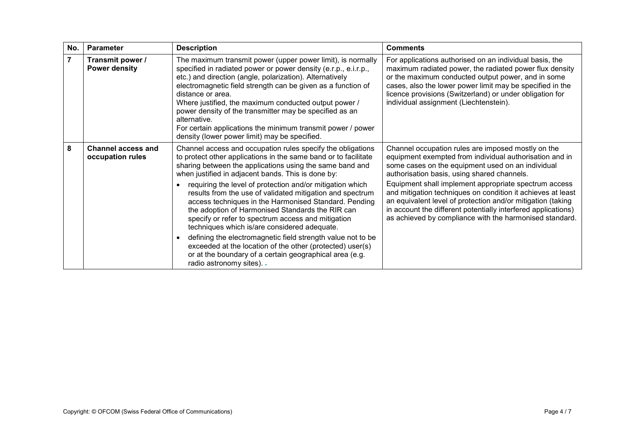| No.            | <b>Parameter</b>                              | <b>Description</b>                                                                                                                                                                                                                                                                                                                                                                                                                                                                                                                  | <b>Comments</b>                                                                                                                                                                                                                                                                                                                             |
|----------------|-----------------------------------------------|-------------------------------------------------------------------------------------------------------------------------------------------------------------------------------------------------------------------------------------------------------------------------------------------------------------------------------------------------------------------------------------------------------------------------------------------------------------------------------------------------------------------------------------|---------------------------------------------------------------------------------------------------------------------------------------------------------------------------------------------------------------------------------------------------------------------------------------------------------------------------------------------|
| $\overline{7}$ | Transmit power /<br><b>Power density</b>      | The maximum transmit power (upper power limit), is normally<br>specified in radiated power or power density (e.r.p., e.i.r.p.,<br>etc.) and direction (angle, polarization). Alternatively<br>electromagnetic field strength can be given as a function of<br>distance or area.<br>Where justified, the maximum conducted output power /<br>power density of the transmitter may be specified as an<br>alternative.<br>For certain applications the minimum transmit power / power<br>density (lower power limit) may be specified. | For applications authorised on an individual basis, the<br>maximum radiated power, the radiated power flux density<br>or the maximum conducted output power, and in some<br>cases, also the lower power limit may be specified in the<br>licence provisions (Switzerland) or under obligation for<br>individual assignment (Liechtenstein). |
| 8              | <b>Channel access and</b><br>occupation rules | Channel access and occupation rules specify the obligations<br>to protect other applications in the same band or to facilitate<br>sharing between the applications using the same band and<br>when justified in adjacent bands. This is done by:                                                                                                                                                                                                                                                                                    | Channel occupation rules are imposed mostly on the<br>equipment exempted from individual authorisation and in<br>some cases on the equipment used on an individual<br>authorisation basis, using shared channels.                                                                                                                           |
|                |                                               | requiring the level of protection and/or mitigation which<br>results from the use of validated mitigation and spectrum<br>access techniques in the Harmonised Standard. Pending<br>the adoption of Harmonised Standards the RIR can<br>specify or refer to spectrum access and mitigation<br>techniques which is/are considered adequate.                                                                                                                                                                                           | Equipment shall implement appropriate spectrum access<br>and mitigation techniques on condition it achieves at least<br>an equivalent level of protection and/or mitigation (taking<br>in account the different potentially interfered applications)<br>as achieved by compliance with the harmonised standard.                             |
|                |                                               | defining the electromagnetic field strength value not to be<br>exceeded at the location of the other (protected) user(s)<br>or at the boundary of a certain geographical area (e.g.<br>radio astronomy sites). -                                                                                                                                                                                                                                                                                                                    |                                                                                                                                                                                                                                                                                                                                             |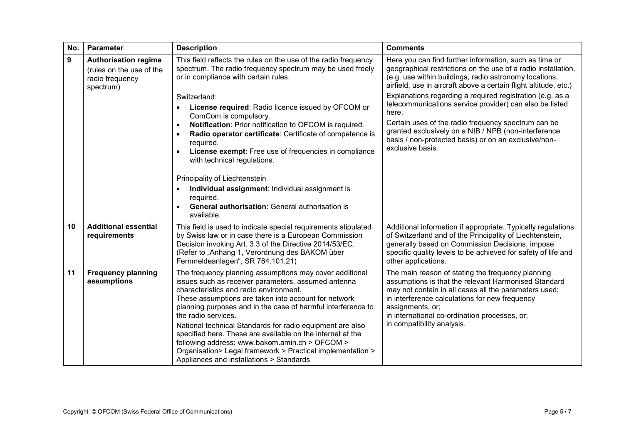| No. | Parameter                                                                               | <b>Description</b>                                                                                                                                                                                                                                                                                                                                                                                                                                                                                                                                                                                                                                                                   | <b>Comments</b>                                                                                                                                                                                                                                                                                                                                                                                                                                                                                                                                                                   |
|-----|-----------------------------------------------------------------------------------------|--------------------------------------------------------------------------------------------------------------------------------------------------------------------------------------------------------------------------------------------------------------------------------------------------------------------------------------------------------------------------------------------------------------------------------------------------------------------------------------------------------------------------------------------------------------------------------------------------------------------------------------------------------------------------------------|-----------------------------------------------------------------------------------------------------------------------------------------------------------------------------------------------------------------------------------------------------------------------------------------------------------------------------------------------------------------------------------------------------------------------------------------------------------------------------------------------------------------------------------------------------------------------------------|
| 9   | <b>Authorisation regime</b><br>(rules on the use of the<br>radio frequency<br>spectrum) | This field reflects the rules on the use of the radio frequency<br>spectrum. The radio frequency spectrum may be used freely<br>or in compliance with certain rules.<br>Switzerland:<br>License required: Radio licence issued by OFCOM or<br>ComCom is compulsory.<br>Notification: Prior notification to OFCOM is required.<br>$\bullet$<br>Radio operator certificate: Certificate of competence is<br>required.<br>License exempt: Free use of frequencies in compliance<br>with technical regulations.<br>Principality of Liechtenstein<br>Individual assignment: Individual assignment is<br>required.<br><b>General authorisation: General authorisation is</b><br>available. | Here you can find further information, such as time or<br>geographical restrictions on the use of a radio installation.<br>(e.g. use within buildings, radio astronomy locations,<br>airfield, use in aircraft above a certain flight altitude, etc.)<br>Explanations regarding a required registration (e.g. as a<br>telecommunications service provider) can also be listed<br>here.<br>Certain uses of the radio frequency spectrum can be<br>granted exclusively on a NIB / NPB (non-interference<br>basis / non-protected basis) or on an exclusive/non-<br>exclusive basis. |
| 10  | <b>Additional essential</b><br>requirements                                             | This field is used to indicate special requirements stipulated<br>by Swiss law or in case there is a European Commission<br>Decision invoking Art. 3.3 of the Directive 2014/53/EC.<br>(Refer to "Anhang 1, Verordnung des BAKOM über<br>Fernmeldeanlagen", SR 784.101.21)                                                                                                                                                                                                                                                                                                                                                                                                           | Additional information if appropriate. Typically regulations<br>of Switzerland and of the Principality of Liechtenstein,<br>generally based on Commission Decisions, impose<br>specific quality levels to be achieved for safety of life and<br>other applications.                                                                                                                                                                                                                                                                                                               |
| 11  | <b>Frequency planning</b><br>assumptions                                                | The frequency planning assumptions may cover additional<br>issues such as receiver parameters, assumed antenna<br>characteristics and radio environment.<br>These assumptions are taken into account for network<br>planning purposes and in the case of harmful interference to<br>the radio services.<br>National technical Standards for radio equipment are also<br>specified here. These are available on the internet at the<br>following address: www.bakom.amin.ch > OFCOM ><br>Organisation> Legal framework > Practical implementation ><br>Appliances and installations > Standards                                                                                       | The main reason of stating the frequency planning<br>assumptions is that the relevant Harmonised Standard<br>may not contain in all cases all the parameters used;<br>in interference calculations for new frequency<br>assignments, or;<br>in international co-ordination processes, or;<br>in compatibility analysis.                                                                                                                                                                                                                                                           |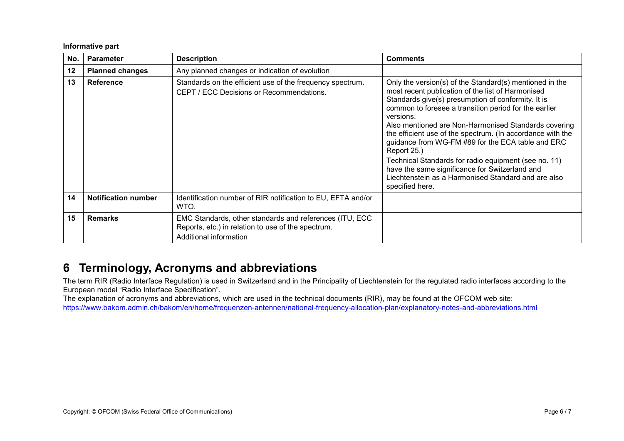#### **Informative part**

| No. | <b>Parameter</b>           | <b>Description</b>                                                                                                                      | <b>Comments</b>                                                                                                                                                                                                                                                                                                                                                                                                                                                                                                                                                                                                        |
|-----|----------------------------|-----------------------------------------------------------------------------------------------------------------------------------------|------------------------------------------------------------------------------------------------------------------------------------------------------------------------------------------------------------------------------------------------------------------------------------------------------------------------------------------------------------------------------------------------------------------------------------------------------------------------------------------------------------------------------------------------------------------------------------------------------------------------|
| 12  | <b>Planned changes</b>     | Any planned changes or indication of evolution                                                                                          |                                                                                                                                                                                                                                                                                                                                                                                                                                                                                                                                                                                                                        |
| 13  | <b>Reference</b>           | Standards on the efficient use of the frequency spectrum.<br><b>CEPT / ECC Decisions or Recommendations.</b>                            | Only the version(s) of the Standard(s) mentioned in the<br>most recent publication of the list of Harmonised<br>Standards give(s) presumption of conformity. It is<br>common to foresee a transition period for the earlier<br>versions.<br>Also mentioned are Non-Harmonised Standards covering<br>the efficient use of the spectrum. (In accordance with the<br>guidance from WG-FM #89 for the ECA table and ERC<br>Report 25.)<br>Technical Standards for radio equipment (see no. 11)<br>have the same significance for Switzerland and<br>Liechtenstein as a Harmonised Standard and are also<br>specified here. |
| 14  | <b>Notification number</b> | Identification number of RIR notification to EU, EFTA and/or<br>WTO.                                                                    |                                                                                                                                                                                                                                                                                                                                                                                                                                                                                                                                                                                                                        |
| 15  | <b>Remarks</b>             | EMC Standards, other standards and references (ITU, ECC<br>Reports, etc.) in relation to use of the spectrum.<br>Additional information |                                                                                                                                                                                                                                                                                                                                                                                                                                                                                                                                                                                                                        |

## **6 Terminology, Acronyms and abbreviations**

The term RIR (Radio Interface Regulation) is used in Switzerland and in the Principality of Liechtenstein for the regulated radio interfaces according to the European model "Radio Interface Specification".

The explanation of acronyms and abbreviations, which are used in the technical documents (RIR), may be found at the OFCOM web site:

<https://www.bakom.admin.ch/bakom/en/home/frequenzen-antennen/national-frequency-allocation-plan/explanatory-notes-and-abbreviations.html>